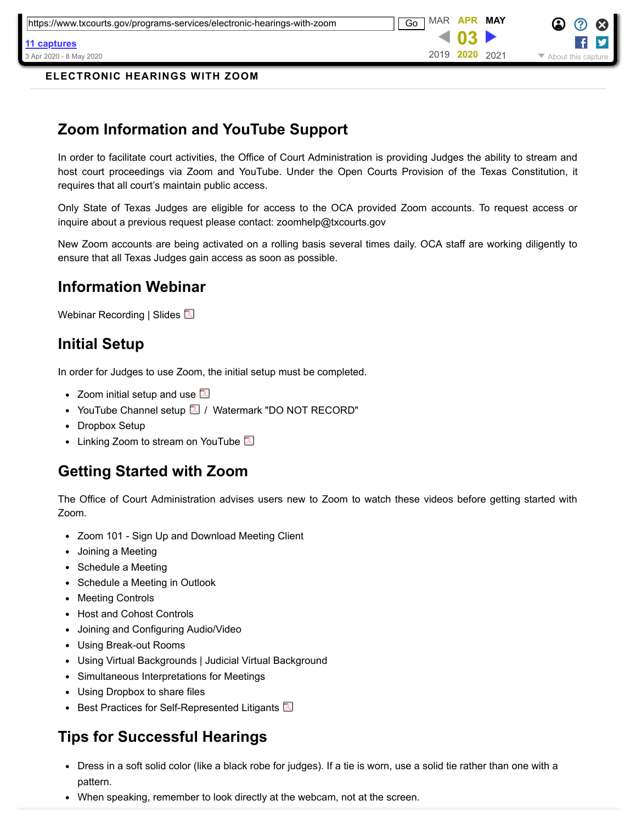**03** 2019 **2020** 2021

3 Apr 2020 - 8 May 2020 → 2000 May 2020 → 2019 - 2020 - 2021 → 2020 About this capture

**[11 captures](https://web.archive.org/web/*/https://www.txcourts.gov/programs-services/electronic-hearings-with-zoom)**

**ELECTRONIC HEARINGS WITH ZOOM**

# **Zoom Information and YouTube Support**

In order to facilitate court activities, the Office of Court Administration is providing Judges the ability to stream and host court proceedings via Zoom and YouTube. Under the Open Courts Provision of the Texas Constitution, it requires that all court's maintain public access.

Only State of Texas Judges are eligible for access to the OCA provided Zoom accounts. To request access or inquire about a previous request please contact: zoomhelp@txcourts.gov

New Zoom accounts are being activated on a rolling basis several times daily. OCA staff are working diligently to ensure that all Texas Judges gain access as soon as possible.

#### **Information Webinar**

[Webinar Recording |](https://web.archive.org/web/20200403223446/https://attendee.gotowebinar.com/recording/5079347202384081926) [Slides](https://web.archive.org/web/20200403223446/https://www.txcourts.gov/media/1446249/zoom-webinar-slides.pdf) 2

#### **Initial Setup**

In order for Judges to use Zoom, the initial setup must be completed.

- [Zoom initial setup and use](https://web.archive.org/web/20200403223446/https://www.txcourts.gov/media/1446208/zoom-instructions.pdf)  $\boxtimes$
- [YouTube Channel setup](https://web.archive.org/web/20200403223446/https://www.txcourts.gov/media/1446204/setting-up-youtube.pdf)  $\boxed{2}$  / [Watermark "DO NOT RECORD"](https://web.archive.org/web/20200403223446/https://www.txcourts.gov/media/1446255/do-not-record.png)
- [Dropbox Setup](https://web.archive.org/web/20200403223446/https://help.dropbox.com/accounts-billing/create-delete/create-account)
- [Linking Zoom to stream on YouTube](https://web.archive.org/web/20200403223446/https://www.txcourts.gov/media/1446248/ncsc-pandemic-resource-1.pdf)  $\Box$

# **Getting Started with Zoom**

The Office of Court Administration advises users new to Zoom to watch these videos before getting started with Zoom.

- [Zoom 101 Sign Up and Download Meeting Client](https://web.archive.org/web/20200403223446/https://youtu.be/qsy2Ph6kSf8)
- [Joining a Meeting](https://web.archive.org/web/20200403223446/https://youtu.be/hIkCmbvAHQQ)
- [Schedule a Meeting](https://web.archive.org/web/20200403223446/https://youtu.be/XhZW3iyXV9U)
- [Schedule a Meeting in Outlook](https://web.archive.org/web/20200403223446/https://youtu.be/UOh_UOUW1y0)
- [Meeting Controls](https://web.archive.org/web/20200403223446/https://youtu.be/ygZ96J_z4AY)
- [Host and Cohost Controls](https://web.archive.org/web/20200403223446/https://youtu.be/ygZ96J_z4AY)
- [Joining and Configuring Audio/Video](https://web.archive.org/web/20200403223446/https://youtu.be/-s76QHshQnY)
- [Using Break-out Rooms](https://web.archive.org/web/20200403223446/https://support.zoom.us/hc/en-us/articles/206476093-Getting-Started-with-Breakout-Rooms)
- [Using Virtual Backgrounds |](https://web.archive.org/web/20200403223446/https://www.youtube.com/watch?v=3Zq-b51A3dA&t=130s) [Judicial Virtual Background](https://web.archive.org/web/20200403223446/https://www.txcourts.gov/media/1446244/judicialbackground.jpg)
- [Simultaneous Interpretations for Meetings](https://web.archive.org/web/20200403223446/https://www.youtube.com/watch?v=nldGntmE7mQ)
- [Using Dropbox to share files](https://web.archive.org/web/20200403223446/https://help.dropbox.com/files-folders/share/share-with-others)
- **•** [Best Practices for Self-Represented Litigants](https://web.archive.org/web/20200403223446/https://www.txcourts.gov/media/1446335/zoomsrlbestpractices.pdf)  $\boxed{2}$

# **Tips for Successful Hearings**

- Dress in a soft solid color (like a black robe for judges). If a tie is worn, use a solid tie rather than one with a pattern.
- When speaking, remember to look directly at the webcam, not at the screen.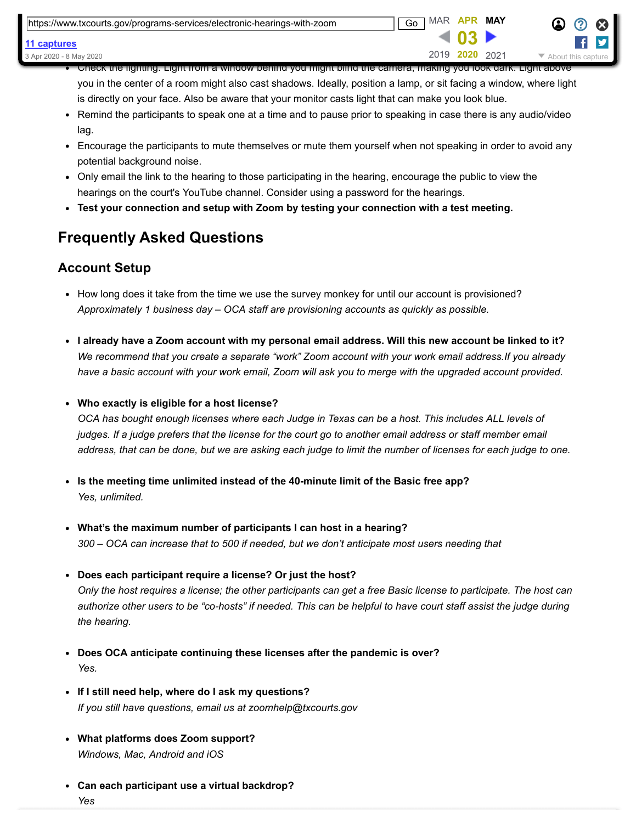| https://www.txcourts.gov/programs-services/electronic-hearings-with-zoom | MAR APR<br>Go |                | MAY | $\bullet$ $\circ$ $\bullet$ |
|--------------------------------------------------------------------------|---------------|----------------|-----|-----------------------------|
| 11 captures                                                              |               |                |     |                             |
| 3 Apr 2020 - 8 May 2020                                                  |               | 2019 2020 2021 |     | About this capture          |

Check the lighting. Light from a window behind you might blind the camera, making you look dark. Light above you in the center of a room might also cast shadows. Ideally, position a lamp, or sit facing a window, where light is directly on your face. Also be aware that your monitor casts light that can make you look blue.

- Remind the participants to speak one at a time and to pause prior to speaking in case there is any audio/video lag.
- Encourage the participants to mute themselves or mute them yourself when not speaking in order to avoid any potential background noise.
- Only email the link to the hearing to those participating in the hearing, encourage the public to view the hearings on the court's YouTube channel. Consider using a password for the hearings.
- **Test your connection and setup with Zoom by testing your connection with a [test meeting.](https://web.archive.org/web/20200403223446/https://zoom.us/test)**

# **Frequently Asked Questions**

#### **Account Setup**

- How long does it take from the time we use the survey monkey for until our account is provisioned? *Approximately 1 business day – OCA staff are provisioning accounts as quickly as possible.*
- **I already have a Zoom account with my personal email address. Will this new account be linked to it?** *We recommend that you create a separate "work" Zoom account with your work email address.If you already have a basic account with your work email, Zoom will ask you to merge with the upgraded account provided.*
- **Who exactly is eligible for a host license?**

*OCA has bought enough licenses where each Judge in Texas can be a host. This includes ALL levels of judges. If a judge prefers that the license for the court go to another email address or staff member email address, that can be done, but we are asking each judge to limit the number of licenses for each judge to one.*

- **Is the meeting time unlimited instead of the 40-minute limit of the Basic free app?**  *Yes, unlimited.*
- **What's the maximum number of participants I can host in a hearing?** *300 – OCA can increase that to 500 if needed, but we don't anticipate most users needing that*
- **Does each participant require a license? Or just the host?** *Only the host requires a license; the other participants can get a free Basic license to participate. The host can authorize other users to be "co-hosts" if needed. This can be helpful to have court staff assist the judge during the hearing.*
- **Does OCA anticipate continuing these licenses after the pandemic is over?** *Yes.*
- **If I still need help, where do I ask my questions?** *If you still have questions, email us at [zoomhelp@txcourts.gov](https://web.archive.org/web/20200403223446/mailto:zoomhelp@txcourts.gov)*
- **What platforms does Zoom support?** *Windows, Mac, Android and iOS*
- **Can each participant use a virtual backdrop?** *Yes*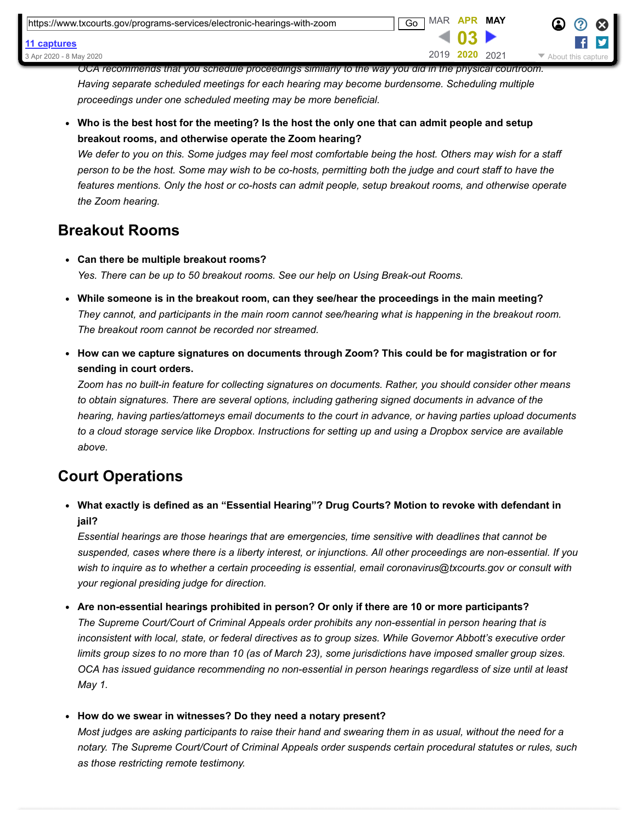*OCA recommends that you schedule proceedings similarly to the way you did in the physical courtroom. Having separate scheduled meetings for each hearing may become burdensome. Scheduling multiple proceedings under one scheduled meeting may be more beneficial.*

**Who is the best host for the meeting? Is the host the only one that can admit people and setup breakout rooms, and otherwise operate the Zoom hearing?**

*We defer to you on this. Some judges may feel most comfortable being the host. Others may wish for a staff person to be the host. Some may wish to be co-hosts, permitting both the judge and court staff to have the features mentions. Only the host or co-hosts can admit people, setup breakout rooms, and otherwise operate the Zoom hearing.*

#### **Breakout Rooms**

- **Can there be multiple breakout rooms?** *Yes. There can be up to 50 breakout rooms. See our help on [Using Break-out Rooms.](https://web.archive.org/web/20200403223446/https://support.zoom.us/hc/en-us/articles/206476093-Getting-Started-with-Breakout-Rooms)*
- **While someone is in the breakout room, can they see/hear the proceedings in the main meeting?** *They cannot, and participants in the main room cannot see/hearing what is happening in the breakout room. The breakout room cannot be recorded nor streamed.*
- **How can we capture signatures on documents through Zoom? This could be for magistration or for sending in court orders.**

*Zoom has no built-in feature for collecting signatures on documents. Rather, you should consider other means to obtain signatures. There are several options, including gathering signed documents in advance of the hearing, having parties/attorneys email documents to the court in advance, or having parties upload documents to a cloud storage service like Dropbox. Instructions for setting up and using a Dropbox service are available above.*

#### **Court Operations**

**What exactly is defined as an "Essential Hearing"? Drug Courts? Motion to revoke with defendant in jail?**

*Essential hearings are those hearings that are emergencies, time sensitive with deadlines that cannot be suspended, cases where there is a liberty interest, or injunctions. All other proceedings are non-essential. If you wish to inquire as to whether a certain proceeding is essential, email [coronavirus@txcourts.gov](https://web.archive.org/web/20200403223446/mailto:coronavirus@txcourts.gov) or consult with your regional presiding judge for direction.*

**Are non-essential hearings prohibited in person? Or only if there are 10 or more participants?** 

*The Supreme Court/Court of Criminal Appeals order prohibits any non-essential in person hearing that is inconsistent with local, state, or federal directives as to group sizes. While Governor Abbott's executive order limits group sizes to no more than 10 (as of March 23), some jurisdictions have imposed smaller group sizes. OCA has issued guidance recommending no non-essential in person hearings regardless of size until at least May 1.*

**How do we swear in witnesses? Do they need a notary present?**

*Most judges are asking participants to raise their hand and swearing them in as usual, without the need for a notary. The Supreme Court/Court of Criminal Appeals order suspends certain procedural statutes or rules, such as those restricting remote testimony.*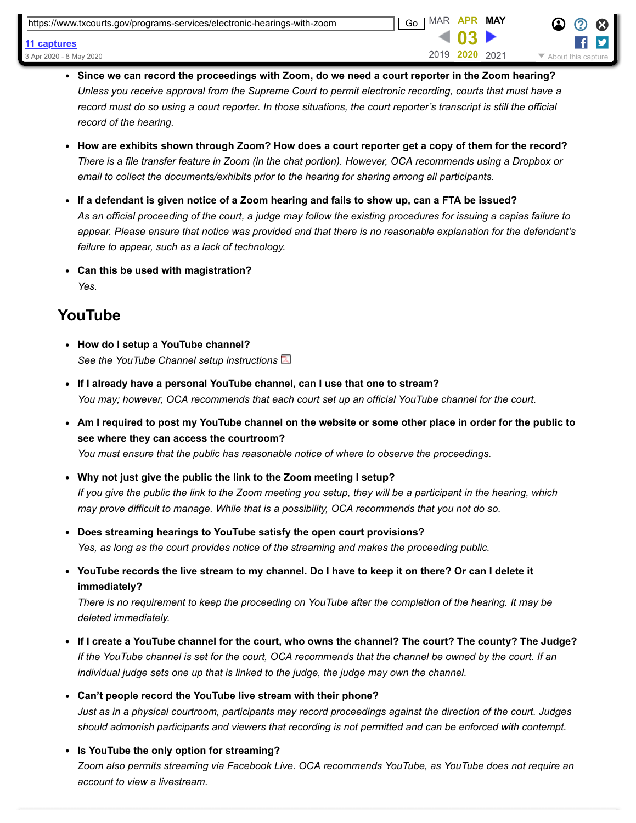| https://www.txcourts.gov/programs-services/electronic-hearings-with-zoom | <b>MAR</b><br>Go | APR       | MAY  |                    |
|--------------------------------------------------------------------------|------------------|-----------|------|--------------------|
| 11 captures                                                              |                  |           |      |                    |
| 3 Apr 2020 - 8 May 2020                                                  |                  | 2019 2020 | 2021 | About this capture |

- **Since we can record the proceedings with Zoom, do we need a court reporter in the Zoom hearing?** *Unless you receive approval from the Supreme Court to permit electronic recording, courts that must have a record must do so using a court reporter. In those situations, the court reporter's transcript is still the official record of the hearing.*
- **How are exhibits shown through Zoom? How does a court reporter get a copy of them for the record?** *There is a file transfer feature in Zoom (in the chat portion). However, OCA recommends using a Dropbox or email to collect the documents/exhibits prior to the hearing for sharing among all participants.*
- **If a defendant is given notice of a Zoom hearing and fails to show up, can a FTA be issued?** *As an official proceeding of the court, a judge may follow the existing procedures for issuing a capias failure to appear. Please ensure that notice was provided and that there is no reasonable explanation for the defendant's failure to appear, such as a lack of technology.*
- **Can this be used with magistration?** *Yes.*

#### **YouTube**

- **How do I setup a YouTube channel?** *See the [YouTube Channel setup instructions](https://web.archive.org/web/20200403223446/https://www.txcourts.gov/media/1446204/setting-up-youtube.pdf)*
- **If I already have a personal YouTube channel, can I use that one to stream?** *You may; however, OCA recommends that each court set up an official YouTube channel for the court.*
- **Am I required to post my YouTube channel on the website or some other place in order for the public to see where they can access the courtroom?**
	- *You must ensure that the public has reasonable notice of where to observe the proceedings.*
- **Why not just give the public the link to the Zoom meeting I setup?** *If you give the public the link to the Zoom meeting you setup, they will be a participant in the hearing, which may prove difficult to manage. While that is a possibility, OCA recommends that you not do so.*
- **Does streaming hearings to YouTube satisfy the open court provisions?** *Yes, as long as the court provides notice of the streaming and makes the proceeding public.*
- **YouTube records the live stream to my channel. Do I have to keep it on there? Or can I delete it immediately?**

*There is no requirement to keep the proceeding on YouTube after the completion of the hearing. It may be deleted immediately.*

- **If I create a YouTube channel for the court, who owns the channel? The court? The county? The Judge?** *If the YouTube channel is set for the court, OCA recommends that the channel be owned by the court. If an individual judge sets one up that is linked to the judge, the judge may own the channel.*
- **Can't people record the YouTube live stream with their phone?** *Just as in a physical courtroom, participants may record proceedings against the direction of the court. Judges should admonish participants and viewers that recording is not permitted and can be enforced with contempt.*
- **Is YouTube the only option for streaming?** *Zoom also permits streaming via Facebook Live. OCA recommends YouTube, as YouTube does not require an account to view a livestream.*